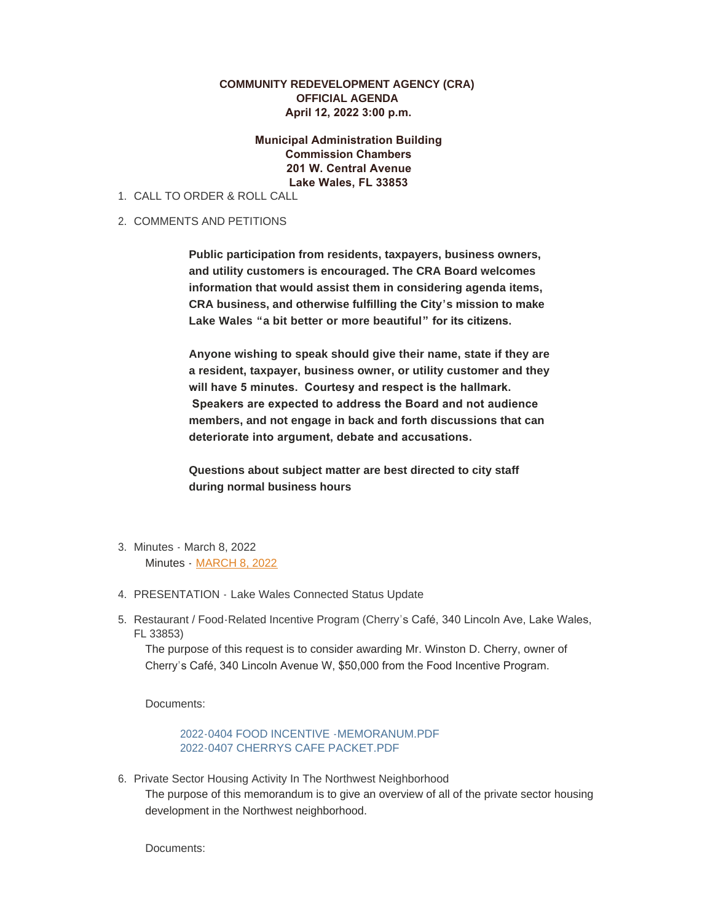## **COMMUNITY REDEVELOPMENT AGENCY (CRA) OFFICIAL AGENDA April 12, 2022 3:00 p.m.**

 **Municipal Administration Building Commission Chambers 201 W. Central Avenue Lake Wales, FL 33853**

- CALL TO ORDER & ROLL CALL 1.
- 2. COMMENTS AND PETITIONS

**Public participation from residents, taxpayers, business owners, and utility customers is encouraged. The CRA Board welcomes information that would assist them in considering agenda items, CRA business, and otherwise fulfilling the City's mission to make Lake Wales "a bit better or more beautiful" for its citizens.** 

**Anyone wishing to speak should give their name, state if they are a resident, taxpayer, business owner, or utility customer and they will have 5 minutes. Courtesy and respect is the hallmark. Speakers are expected to address the Board and not audience members, and not engage in back and forth discussions that can deteriorate into argument, debate and accusations.** 

**Questions about subject matter are best directed to city staff during normal business hours**

- Minutes March 8, 2022 3. Minutes - MARCH 8, 2022
- PRESENTATION Lake Wales Connected Status Update 4.
- 5. Restaurant / Food-Related Incentive Program (Cherry's Café, 340 Lincoln Ave, Lake Wales, FL 33853)

The purpose of this request is to consider awarding Mr. Winston D. Cherry, owner of Cherry's Café, 340 Lincoln Avenue W, \$50,000 from the Food Incentive Program.

Documents:

2022-0404 FOOD INCENTIVE -MEMORANUM.PDF 2022-0407 CHERRYS CAFE PACKET.PDF

6. Private Sector Housing Activity In The Northwest Neighborhood The purpose of this memorandum is to give an overview of all of the private sector housing development in the Northwest neighborhood.

Documents: